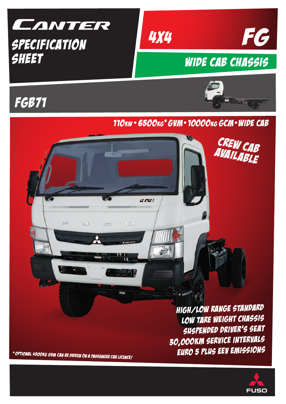

# sheet



**EREI** 

 $\Box$ 

# Wide Cab chassis





CREW CAB

# 110kw • 6500kg\* gVm•10000kg gcm•wide cab

\* Optional 4500kg GVM can be driven ON <sup>A</sup> passenger car licence!

 $\equiv$ 

IJ

 $\Rightarrow$ 

HIGH/LOW RANGE STANDARD LOW TARE WEIGHT CHASSIS SUSPENDED driver's seat 30,000km service intervals EURO <sup>5</sup> PLUS EEV EMISSIONS

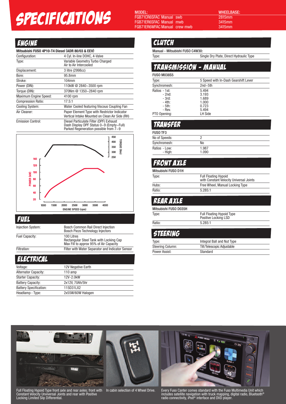# **SPECIFICATIONS** MODEL:<br>
FGB71CRSFAC Manual swb and all must alternation and alternation and stream and stream and stream and stream and stream and stream and stream and stream and stream and stream and stream and stream a

MODEL:

FGB71CR6SFAC Manual swb FGB71ER6SFAC Manual mwb FGB71ER6WFAC Manual crew mwb WHEELBASE: 2815mm

### **ENGINE**

| Mitsubishi FUSO 4P10-T4 Diesel (ADR 80/03 & EEV) |                                                                                                |  |
|--------------------------------------------------|------------------------------------------------------------------------------------------------|--|
| Configuration:                                   | 4 Cyl. In-line DOHC, 4-Valve                                                                   |  |
| Type:                                            | Variable Geometry Turbo Charged<br>Air to Air Intercooled                                      |  |
| Displacement:                                    | 3 litre (2998cc)                                                                               |  |
| Bore:                                            | 95.8mm                                                                                         |  |
| Stroke:                                          | $104$ mm                                                                                       |  |
| Power (DIN):                                     | 110kW @ 2840~3500 rpm                                                                          |  |
| Torque (DIN):                                    | 370Nm @ 1350~2840 rpm                                                                          |  |
| Maximum Engine Speed:                            | 4100 rpm                                                                                       |  |
| <b>Compression Ratio:</b>                        | 17.5:1                                                                                         |  |
| <b>Cooling System:</b>                           | Water Cooled featuring Viscous Coupling Fan                                                    |  |
| Air Cleaner:                                     | Paper Element Type with Restrictor Indicator<br>Vertical Intake Mounted on Clean Air Side (RH) |  |

Emission Control: Diesel Particulate Filter (DPF) Exhaust Dash Display DPF Status 0~9 (Empty~Full) Parked Regeneration possible from 7~9



Fuel

| <b>Injection System:</b> | <b>Bosch Common Rail Direct Injection</b><br><b>Bosch Piezo Technology Injectors</b>            |
|--------------------------|-------------------------------------------------------------------------------------------------|
| Fuel Capacity:           | 100 Litres<br>Rectangular Steel Tank with Locking Cap<br>Max Fill to approx 95% of Air Capacity |
| Filtration:              | Filter with Water Separator and Indicator Sensor                                                |
|                          |                                                                                                 |

**ELECTRICAL** 

| Voltage:                      | 12V Negative Earth |
|-------------------------------|--------------------|
| <b>Alternator Capacity:</b>   | $110$ amp          |
| <b>Starter Capacity:</b>      | 12V-2.0kW          |
| <b>Battery Capacity:</b>      | 2x12V. 70Ah/5hr    |
| <b>Battery Specification:</b> | 115D31LX2          |
| Headlamp - Type:              | 2x55W/60W Halogen  |

#### **CLUTCH**

Manual - Mitsubishi FUSO C4W30:

Type: Single Dry Plate, Direct Hydraulic Type

| <b>TRANSMISSION - MANUAL</b> |                                      |  |
|------------------------------|--------------------------------------|--|
| <b>FUSO M038S5</b>           |                                      |  |
| Type:                        | 5 Speed with In-Dash Gearshift Lever |  |
| Synchromesh:                 | $2nd \sim 5th$                       |  |
| Ratios - 1st:                | 5.494                                |  |
| - 2nd:                       | 3.193                                |  |
| $-3rd:$                      | 1.689                                |  |
| - 4th:                       | 1.000                                |  |
| - 5th:                       | 0.723                                |  |
| - Rev.                       | 5.494                                |  |
| PTO Opening:                 | LH Side                              |  |

#### TRANSFER

| <b>FUSO TF3</b>          |                |  |
|--------------------------|----------------|--|
| No of Speeds:            |                |  |
| Synchromesh:             | No             |  |
| Ratios - Low:<br>- High: | 1.987<br>1.090 |  |

### Front Axle

| Mitsubishi FUSO D1H |                                                                        |
|---------------------|------------------------------------------------------------------------|
| Type:               | <b>Full Floating Hypoid</b><br>with Constant Velocity Universal Joints |
| Hubs:               | Free Wheel, Manual Locking Type                                        |
| Ratio:              | 5.285:1                                                                |

#### REAR AXLE

| Mitsubishi FUSO D035H |                                                          |
|-----------------------|----------------------------------------------------------|
| Type:                 | <b>Full Floating Hypoid Type</b><br>Positive Locking LSD |
| Ratio:                | 5.285:1                                                  |

#### STEERING

| Tvpe:                   | Integral Ball and Nut Type |
|-------------------------|----------------------------|
| <b>Steering Column:</b> | Tilt/Telescopic Adjustable |
| Power Assist:           | Standard                   |



Full Floating Hypoid Type front axle and rear axles; front with Constant Velocity Unviversal Joints and rear with Positive Locking Limited Slip Differential.

In cabin selection of 4 Wheel Drive.

Every Fuso Canter comes standard with the Fuso Multimedia Unit which includes satellite navigation with truck mapping, digital radio, Bluetooth® radio connectivity, iPod® interface and DVD player.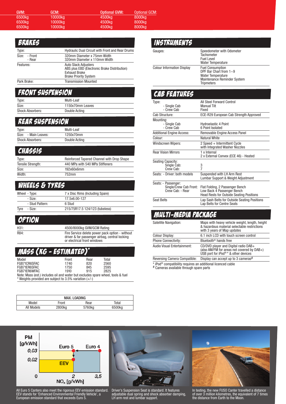| GVM:   | GCM: '  | <b>Optional GVM:</b> | <b>Optional GCM:</b> |
|--------|---------|----------------------|----------------------|
| 6500kg | 10000kg | 4500kg               | 8000kg               |
| 6500kg | 10000kg | 4500kg               | 8000kg               |
| 6500kg | 10000kg | 4500kg               | 8000kg               |
|        |         |                      |                      |

| <b>BRAKES</b>           |                                                                                                                                     |
|-------------------------|-------------------------------------------------------------------------------------------------------------------------------------|
| Type:                   | <b>Hydraulic Dual Circuit with Front and Rear Drums</b>                                                                             |
| Size: - Front<br>- Rear | 320mm Diameter x 75mm Width<br>320mm Diameter x 110mm Width                                                                         |
| Features:               | <b>Auto Slack Adjusters</b><br>ABS plus EBD (Electronic Brake Distribution)<br><b>Exhaust Brake</b><br><b>Brake Priority System</b> |
| Park Brake:             | <b>Transmission Mounted</b>                                                                                                         |

# FRONT SUSPENSION

| Type:                   | Multi-Leaf       |
|-------------------------|------------------|
| Size:                   | 1150x70mm Leaves |
| <b>Shock Absorbers:</b> | Double Acting    |

#### REAR SUSPENSION

| Type:                   | Multi-Leaf    |
|-------------------------|---------------|
| Size: - Main Leaves:    | 1250x70mm     |
| <b>Shock Absorbers:</b> | Double Acting |

#### **CHASSIS**

| Type:             | Reinforced Tapered Channel with Drop Shape |
|-------------------|--------------------------------------------|
| Tensile Strength: | 440 MPa with 540 MPa Stiffeners            |
| Size:             | 192x60x6mm                                 |
| Width:            | 752mm                                      |

#### WHEELS & TYRES

|      | Wheel - Type:   | 7 x Disc Rims (Including Spare) |
|------|-----------------|---------------------------------|
|      | - Size:         | 17.5x6.00-127                   |
|      | - Stud Pattern: | 6 Stud                          |
| Tyre | - Size:         | 215/75R17.5 124/123 (tubeless)  |

#### **OPTION**

H31: 4500/8000kg GVM/GCM Rating R84: Fire Service delete power pack option - without driver & far passenger airbag, central locking or electrical front windows

### MASS (kg - estimated)\*

| Model                                                                           | Front | Rear | Total |  |
|---------------------------------------------------------------------------------|-------|------|-------|--|
| FGB71CR6SFAC                                                                    | 1740  | 820  | 2560  |  |
| FGB71ER6SFAC                                                                    | 1750  | 845  | 2595  |  |
| FGB71ER6WFAC                                                                    | 1910  | 915  | 2825  |  |
| Note: Mass (est.) includes oil and water but excludes spare wheel, tools & fuel |       |      |       |  |
| * Weights provided are subject to 3.5% variation $(+/-)$                        |       |      |       |  |

| MAX. LOADING |                    |        |        |  |
|--------------|--------------------|--------|--------|--|
| Model        | Front              | Rear   | Total  |  |
| All Models   | 2800 <sub>kg</sub> | 5760kg | 6500kg |  |

#### **INSTRUMENTS**

Gauges: **Speedometer with Odometer Tachometer** Fuel Level Water Temperature Colour Information Display Fuel Consumption DPF Bar Chart from 1~9 Water Temperature Maintenance Reminder System **Tripmeters** 

#### Cab features

| Type:<br>- Single Cab<br>- Crew Cab                               | All Steel Forward Control<br><b>Manual Tilt</b><br>Fixed                                                         |  |
|-------------------------------------------------------------------|------------------------------------------------------------------------------------------------------------------|--|
| Cab Structure:                                                    | ECE-R29 European Cab Strength Approved                                                                           |  |
| Mounting:                                                         |                                                                                                                  |  |
| - Single Cab<br>- Crew Cab                                        | <b>Hydroelastic 4 Point</b><br>6 Point Isolated                                                                  |  |
| <b>Additional Engine Access:</b>                                  | Removable Engine Access Panel                                                                                    |  |
| Colour:                                                           | Natural White                                                                                                    |  |
| Windscreen Wipers:                                                | 2 Speed + Intermittent Cycle<br>with Integrated Washer Nozzles                                                   |  |
| <b>Rear Vision Mirrors</b>                                        | 1 x Internal<br>2 x External Convex (ECE 46) - Heated                                                            |  |
| Seating Capacity:<br>Single Cab:<br>Crew Cab:                     | 3<br>$\overline{7}$                                                                                              |  |
| Seats: - Driver: both models                                      | Suspended with LH Arm Rest<br>Lumbar Support & Weight Adjustment                                                 |  |
| Seats: - Passenger:<br>Single/Crew Cab Front:<br>Crew Cab: - Rear | Flat Folding, 2 Passenger Bench<br>Low Back 4 Passenger Bench<br><b>Head Rests for Outside Seating Positions</b> |  |
| <b>Seat Belts</b>                                                 | Lap Sash Belts for Outside Seating Positions<br>Lap Belts for Centre Seats                                       |  |

#### MULTI-MEDIA PACKAGE

| Satellite Navigation:        | Maps with heavy vehicle weight, length, height<br>& hazardous material selectable restrictions<br>with 3 years of Map updates          |
|------------------------------|----------------------------------------------------------------------------------------------------------------------------------------|
| Colour Display:              | 6.1 inch LCD with touch screen control                                                                                                 |
| <b>Phone Connectivity:</b>   | Bluetooth <sup>®</sup> hands free                                                                                                      |
| Audio Visual Entertainment:  | CD/DVD player and Digital radio DAB+<br>(also AM/FM for areas not covered by DAB+)<br>USB port for iPod <sup>® *</sup> & other devices |
| Reversing Camera Compatible: | Display can accept up to 3 cameras#                                                                                                    |

\* iPod® compatibility requires an additional licenced cable

# Cameras available through spare parts



All Euro 5 Canters also meet the rigorous EEV emission standard. EEV stands for 'Enhanced Environmental Friendly Vehicle', a European emission standard that exceeds Euro 5.



Driver's Suspension Seat is standard. It features adjustable dual spring and shock absorber damping, LH arm rest and lumbar support.



In testing, the new FUSO Canter travelled a distance of over 3 million kilometres, the equivalent of 7 times the distance from Earth to the Moon.